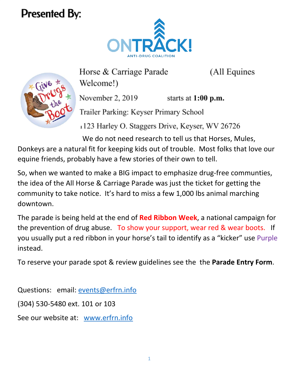## <span id="page-0-0"></span>**Presented By:**



(All Equines



Horse & Carriage Parade Welcome!)

November 2, 2019

starts at  $1:00$  p.m.

Trailer Parking: Keyser Primary School

1123 Harley O. Staggers Drive, Keyser, WV 26726

We do not need research to tell us that Horses, Mules,

Donkeys are a natural fit for keeping kids out of trouble. Most folks that love our equine friends, probably have a few stories of their own to tell.

So, when we wanted to make a BIG impact to emphasize drug-free communties, the idea of the All Horse & Carriage Parade was just the ticket for getting the community to take notice. It's hard to miss a few 1,000 lbs animal marching downtown.

The parade is being held at the end of **Red Ribbon Week**, a national campaign for the prevention of drug abuse. To show your support, wear red & wear boots. If you usually put a red ribbon in your horse's tail to identify as a "kicker" use Purple instead.

To reserve your parade spot & review guidelines see the the **Parade Entry Form**.

Questions: email: [events@erfrn.info](mailto:events@erfrn.info)

(304) 530-5480 ext. 101 or 103

See our website at: [www.erfrn.info](#page-0-0)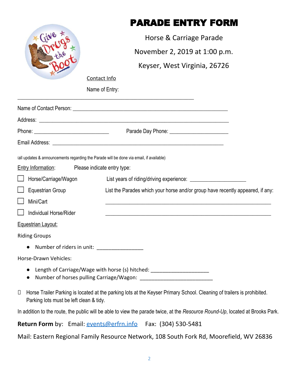|                                                                                         | <b>PARADE ENTRY FORM</b>                                                                                                      |
|-----------------------------------------------------------------------------------------|-------------------------------------------------------------------------------------------------------------------------------|
|                                                                                         | Horse & Carriage Parade                                                                                                       |
|                                                                                         | November 2, 2019 at 1:00 p.m.                                                                                                 |
|                                                                                         | Keyser, West Virginia, 26726                                                                                                  |
| Contact Info                                                                            |                                                                                                                               |
| Name of Entry:                                                                          |                                                                                                                               |
|                                                                                         | <u> 1999 - Johann John Stone, mars and deutscher Stone (1999)</u>                                                             |
|                                                                                         |                                                                                                                               |
|                                                                                         | Parade Day Phone: National Parade Day Phone:                                                                                  |
|                                                                                         |                                                                                                                               |
| (all updates & announcements regarding the Parade will be done via email, if available) |                                                                                                                               |
| <b>Entry Information:</b><br>Please indicate entry type:                                |                                                                                                                               |
| Horse/Carriage/Wagon                                                                    |                                                                                                                               |
| <b>Equestrian Group</b>                                                                 | List the Parades which your horse and/or group have recently appeared, if any:                                                |
| Mini/Cart                                                                               | <u> 1990 - Jan James James James James James James James James James James James James James James James James J</u>          |
| Individual Horse/Rider                                                                  |                                                                                                                               |
| <b>Equestrian Layout:</b>                                                               |                                                                                                                               |
| <b>Riding Groups</b>                                                                    |                                                                                                                               |
| Number of riders in unit: __________________                                            |                                                                                                                               |
| Horse-Drawn Vehicles:                                                                   |                                                                                                                               |
| $\bullet$                                                                               | Length of Carriage/Wage with horse (s) hitched: ________________________________                                              |
| $\Box$<br>Parking lots must be left clean & tidy.                                       | Horse Trailer Parking is located at the parking lots at the Keyser Primary School. Cleaning of trailers is prohibited.        |
|                                                                                         | In addition to the route, the public will be able to view the parade twice, at the Resource Round-Up, located at Brooks Park. |

**Return Form** by: Email: **[events@erfrn.info](mailto:events@erfrn.info)** Fax: (304) 530-5481

Mail: Eastern Regional Family Resource Network, 108 South Fork Rd, Moorefield, WV 26836